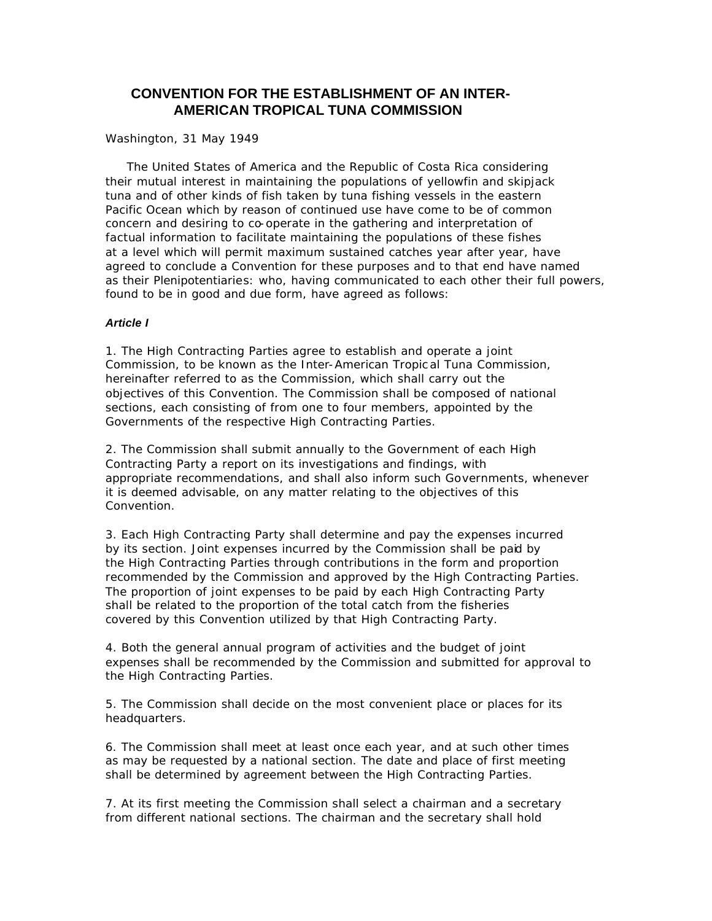# **CONVENTION FOR THE ESTABLISHMENT OF AN INTER-AMERICAN TROPICAL TUNA COMMISSION**

#### Washington, 31 May 1949

 The United States of America and the Republic of Costa Rica considering their mutual interest in maintaining the populations of yellowfin and skipjack tuna and of other kinds of fish taken by tuna fishing vessels in the eastern Pacific Ocean which by reason of continued use have come to be of common concern and desiring to co-operate in the gathering and interpretation of factual information to facilitate maintaining the populations of these fishes at a level which will permit maximum sustained catches year after year, have agreed to conclude a Convention for these purposes and to that end have named as their Plenipotentiaries: who, having communicated to each other their full powers, found to be in good and due form, have agreed as follows:

#### *Article I*

1. The High Contracting Parties agree to establish and operate a joint Commission, to be known as the Inter-American Tropic al Tuna Commission, hereinafter referred to as the Commission, which shall carry out the objectives of this Convention. The Commission shall be composed of national sections, each consisting of from one to four members, appointed by the Governments of the respective High Contracting Parties.

2. The Commission shall submit annually to the Government of each High Contracting Party a report on its investigations and findings, with appropriate recommendations, and shall also inform such Governments, whenever it is deemed advisable, on any matter relating to the objectives of this Convention.

3. Each High Contracting Party shall determine and pay the expenses incurred by its section. Joint expenses incurred by the Commission shall be paid by the High Contracting Parties through contributions in the form and proportion recommended by the Commission and approved by the High Contracting Parties. The proportion of joint expenses to be paid by each High Contracting Party shall be related to the proportion of the total catch from the fisheries covered by this Convention utilized by that High Contracting Party.

4. Both the general annual program of activities and the budget of joint expenses shall be recommended by the Commission and submitted for approval to the High Contracting Parties.

5. The Commission shall decide on the most convenient place or places for its headquarters.

6. The Commission shall meet at least once each year, and at such other times as may be requested by a national section. The date and place of first meeting shall be determined by agreement between the High Contracting Parties.

7. At its first meeting the Commission shall select a chairman and a secretary from different national sections. The chairman and the secretary shall hold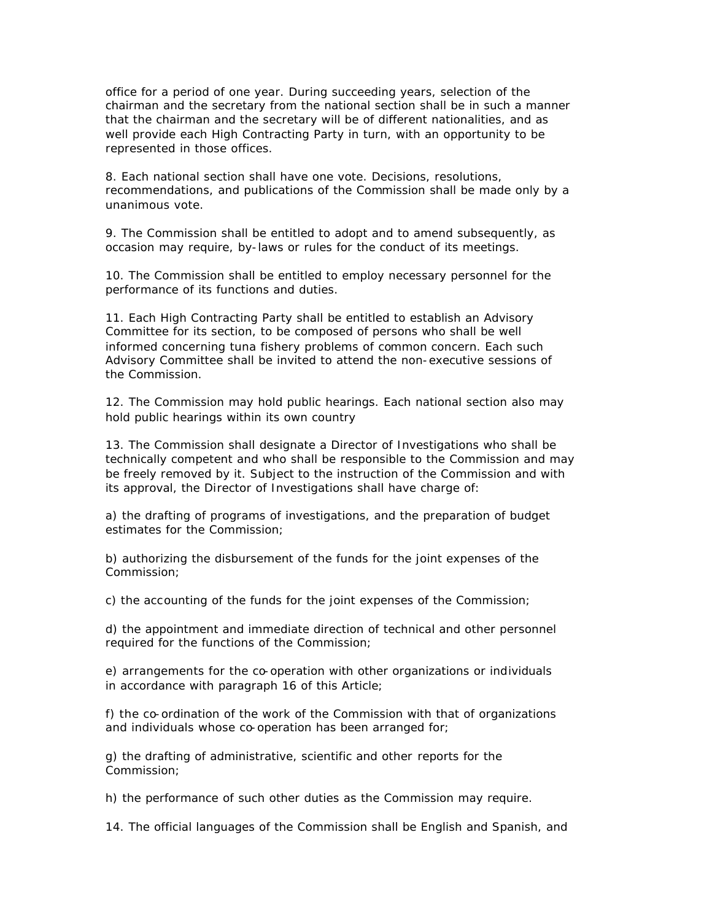office for a period of one year. During succeeding years, selection of the chairman and the secretary from the national section shall be in such a manner that the chairman and the secretary will be of different nationalities, and as well provide each High Contracting Party in turn, with an opportunity to be represented in those offices.

8. Each national section shall have one vote. Decisions, resolutions, recommendations, and publications of the Commission shall be made only by a unanimous vote.

9. The Commission shall be entitled to adopt and to amend subsequently, as occasion may require, by-laws or rules for the conduct of its meetings.

10. The Commission shall be entitled to employ necessary personnel for the performance of its functions and duties.

11. Each High Contracting Party shall be entitled to establish an Advisory Committee for its section, to be composed of persons who shall be well informed concerning tuna fishery problems of common concern. Each such Advisory Committee shall be invited to attend the non-executive sessions of the Commission.

12. The Commission may hold public hearings. Each national section also may hold public hearings within its own country

13. The Commission shall designate a Director of Investigations who shall be technically competent and who shall be responsible to the Commission and may be freely removed by it. Subject to the instruction of the Commission and with its approval, the Director of Investigations shall have charge of:

a) the drafting of programs of investigations, and the preparation of budget estimates for the Commission;

b) authorizing the disbursement of the funds for the joint expenses of the Commission;

c) the accounting of the funds for the joint expenses of the Commission;

d) the appointment and immediate direction of technical and other personnel required for the functions of the Commission;

e) arrangements for the co-operation with other organizations or individuals in accordance with paragraph 16 of this Article;

f) the co-ordination of the work of the Commission with that of organizations and individuals whose co-operation has been arranged for;

g) the drafting of administrative, scientific and other reports for the Commission;

h) the performance of such other duties as the Commission may require.

14. The official languages of the Commission shall be English and Spanish, and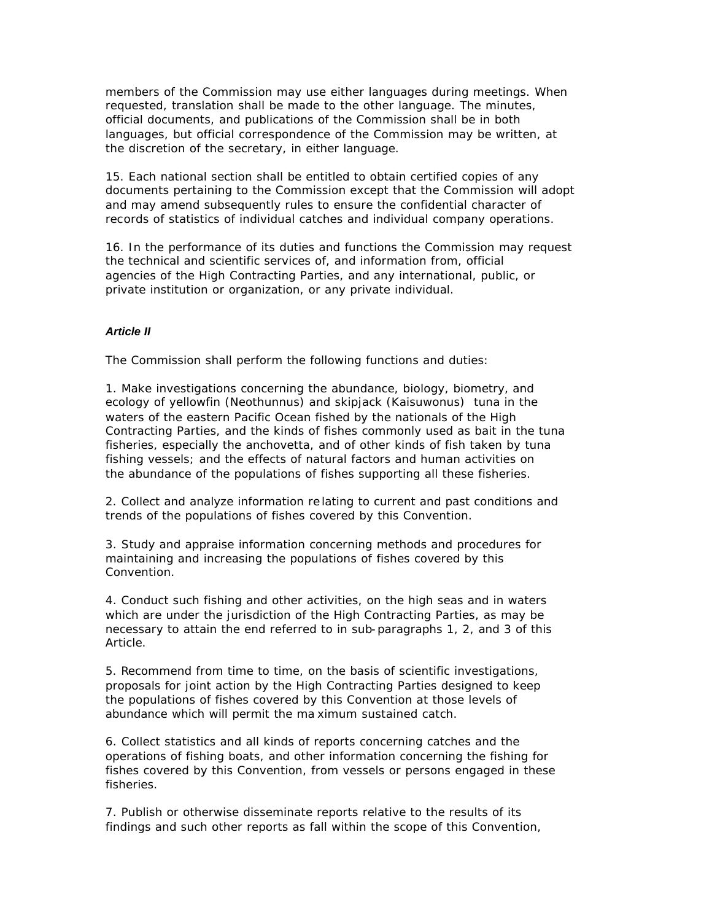members of the Commission may use either languages during meetings. When requested, translation shall be made to the other language. The minutes, official documents, and publications of the Commission shall be in both languages, but official correspondence of the Commission may be written, at the discretion of the secretary, in either language.

15. Each national section shall be entitled to obtain certified copies of any documents pertaining to the Commission except that the Commission will adopt and may amend subsequently rules to ensure the confidential character of records of statistics of individual catches and individual company operations.

16. In the performance of its duties and functions the Commission may request the technical and scientific services of, and information from, official agencies of the High Contracting Parties, and any international, public, or private institution or organization, or any private individual.

#### *Article II*

The Commission shall perform the following functions and duties:

1. Make investigations concerning the abundance, biology, biometry, and ecology of yellowfin (Neothunnus) and skipjack (Kaisuwonus) tuna in the waters of the eastern Pacific Ocean fished by the nationals of the High Contracting Parties, and the kinds of fishes commonly used as bait in the tuna fisheries, especially the anchovetta, and of other kinds of fish taken by tuna fishing vessels; and the effects of natural factors and human activities on the abundance of the populations of fishes supporting all these fisheries.

2. Collect and analyze information re lating to current and past conditions and trends of the populations of fishes covered by this Convention.

3. Study and appraise information concerning methods and procedures for maintaining and increasing the populations of fishes covered by this Convention.

4. Conduct such fishing and other activities, on the high seas and in waters which are under the jurisdiction of the High Contracting Parties, as may be necessary to attain the end referred to in sub-paragraphs 1, 2, and 3 of this Article.

5. Recommend from time to time, on the basis of scientific investigations, proposals for joint action by the High Contracting Parties designed to keep the populations of fishes covered by this Convention at those levels of abundance which will permit the ma ximum sustained catch.

6. Collect statistics and all kinds of reports concerning catches and the operations of fishing boats, and other information concerning the fishing for fishes covered by this Convention, from vessels or persons engaged in these fisheries.

7. Publish or otherwise disseminate reports relative to the results of its findings and such other reports as fall within the scope of this Convention,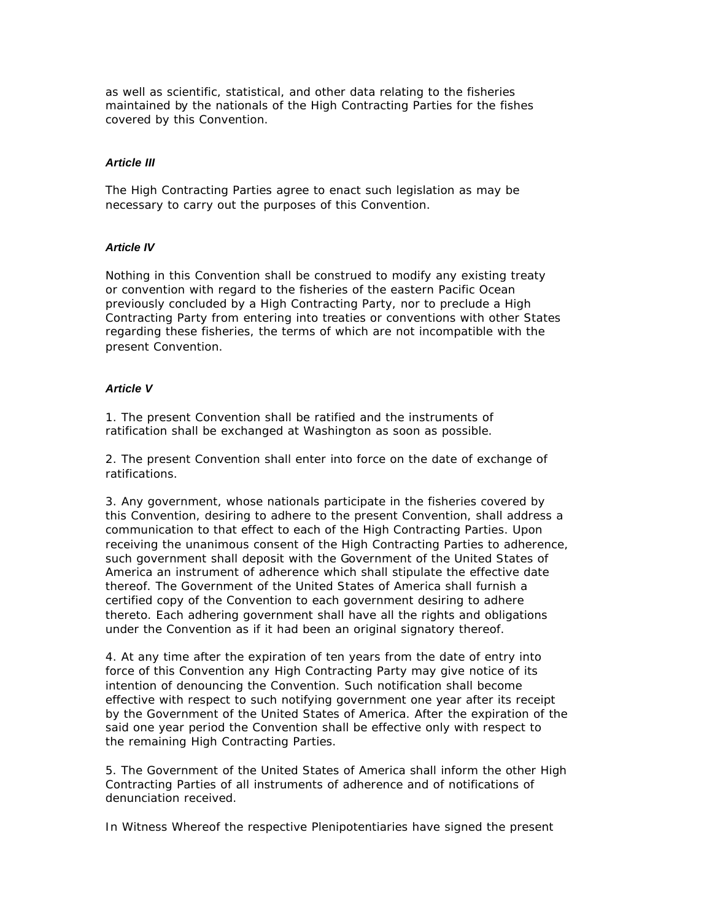as well as scientific, statistical, and other data relating to the fisheries maintained by the nationals of the High Contracting Parties for the fishes covered by this Convention.

#### *Article III*

The High Contracting Parties agree to enact such legislation as may be necessary to carry out the purposes of this Convention.

## *Article IV*

Nothing in this Convention shall be construed to modify any existing treaty or convention with regard to the fisheries of the eastern Pacific Ocean previously concluded by a High Contracting Party, nor to preclude a High Contracting Party from entering into treaties or conventions with other States regarding these fisheries, the terms of which are not incompatible with the present Convention.

#### *Article V*

1. The present Convention shall be ratified and the instruments of ratification shall be exchanged at Washington as soon as possible.

2. The present Convention shall enter into force on the date of exchange of ratifications.

3. Any government, whose nationals participate in the fisheries covered by this Convention, desiring to adhere to the present Convention, shall address a communication to that effect to each of the High Contracting Parties. Upon receiving the unanimous consent of the High Contracting Parties to adherence, such government shall deposit with the Government of the United States of America an instrument of adherence which shall stipulate the effective date thereof. The Government of the United States of America shall furnish a certified copy of the Convention to each government desiring to adhere thereto. Each adhering government shall have all the rights and obligations under the Convention as if it had been an original signatory thereof.

4. At any time after the expiration of ten years from the date of entry into force of this Convention any High Contracting Party may give notice of its intention of denouncing the Convention. Such notification shall become effective with respect to such notifying government one year after its receipt by the Government of the United States of America. After the expiration of the said one year period the Convention shall be effective only with respect to the remaining High Contracting Parties.

5. The Government of the United States of America shall inform the other High Contracting Parties of all instruments of adherence and of notifications of denunciation received.

In Witness Whereof the respective Plenipotentiaries have signed the present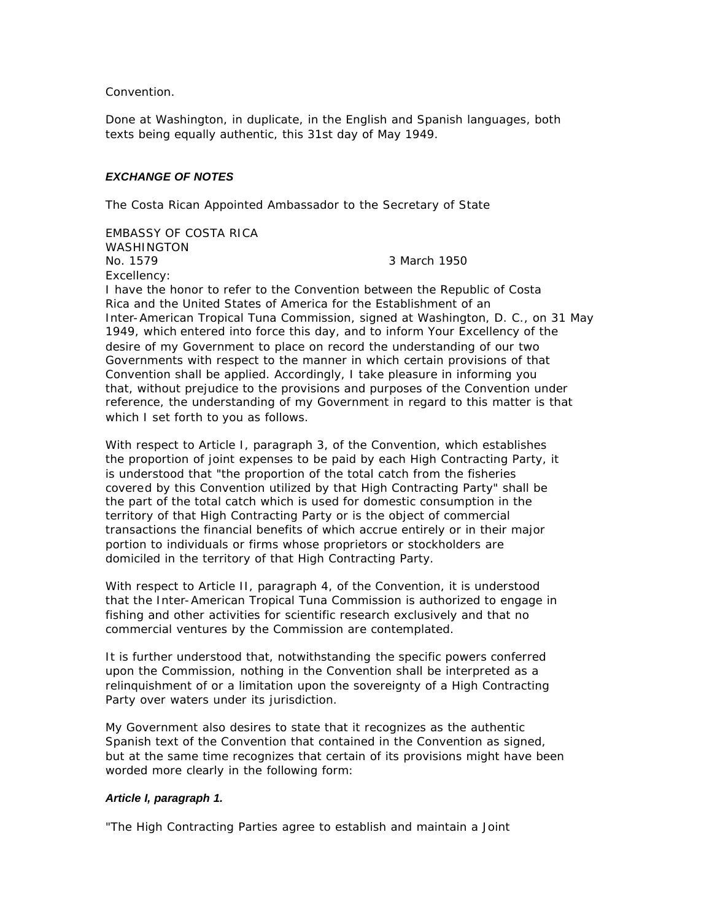Convention.

Done at Washington, in duplicate, in the English and Spanish languages, both texts being equally authentic, this 31st day of May 1949.

#### *EXCHANGE OF NOTES*

The Costa Rican Appointed Ambassador to the Secretary of State

EMBASSY OF COSTA RICA WASHINGTON No. 1579 3March 1950 Excellency:

I have the honor to refer to the Convention between the Republic of Costa Rica and the United States of America for the Establishment of an Inter-American Tropical Tuna Commission, signed at Washington, D. C., on 31 May 1949, which entered into force this day, and to inform Your Excellency of the desire of my Government to place on record the understanding of our two Governments with respect to the manner in which certain provisions of that Convention shall be applied. Accordingly, I take pleasure in informing you that, without prejudice to the provisions and purposes of the Convention under reference, the understanding of my Government in regard to this matter is that which I set forth to you as follows.

With respect to Article I, paragraph 3, of the Convention, which establishes the proportion of joint expenses to be paid by each High Contracting Party, it is understood that "the proportion of the total catch from the fisheries covered by this Convention utilized by that High Contracting Party" shall be the part of the total catch which is used for domestic consumption in the territory of that High Contracting Party or is the object of commercial transactions the financial benefits of which accrue entirely or in their major portion to individuals or firms whose proprietors or stockholders are domiciled in the territory of that High Contracting Party.

With respect to Article II, paragraph 4, of the Convention, it is understood that the Inter-American Tropical Tuna Commission is authorized to engage in fishing and other activities for scientific research exclusively and that no commercial ventures by the Commission are contemplated.

It is further understood that, notwithstanding the specific powers conferred upon the Commission, nothing in the Convention shall be interpreted as a relinquishment of or a limitation upon the sovereignty of a High Contracting Party over waters under its jurisdiction.

My Government also desires to state that it recognizes as the authentic Spanish text of the Convention that contained in the Convention as signed, but at the same time recognizes that certain of its provisions might have been worded more clearly in the following form:

#### *Article I, paragraph 1.*

"The High Contracting Parties agree to establish and maintain a Joint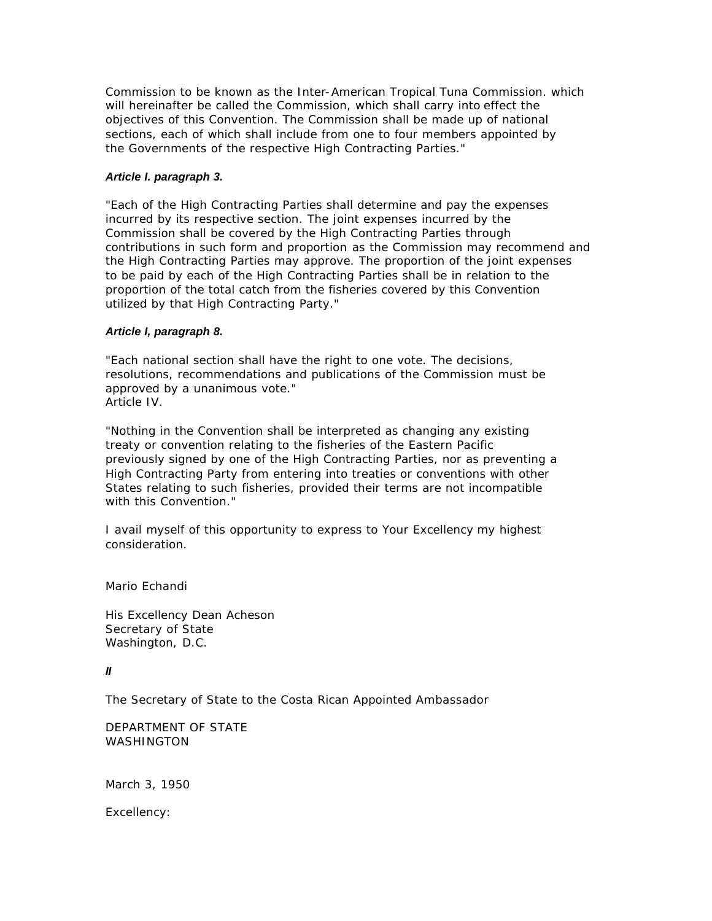Commission to be known as the Inter-American Tropical Tuna Commission. which will hereinafter be called the Commission, which shall carry into effect the objectives of this Convention. The Commission shall be made up of national sections, each of which shall include from one to four members appointed by the Governments of the respective High Contracting Parties."

## *Article I. paragraph 3.*

"Each of the High Contracting Parties shall determine and pay the expenses incurred by its respective section. The joint expenses incurred by the Commission shall be covered by the High Contracting Parties through contributions in such form and proportion as the Commission may recommend and the High Contracting Parties may approve. The proportion of the joint expenses to be paid by each of the High Contracting Parties shall be in relation to the proportion of the total catch from the fisheries covered by this Convention utilized by that High Contracting Party."

## *Article I, paragraph 8.*

"Each national section shall have the right to one vote. The decisions, resolutions, recommendations and publications of the Commission must be approved by a unanimous vote." Article IV.

"Nothing in the Convention shall be interpreted as changing any existing treaty or convention relating to the fisheries of the Eastern Pacific previously signed by one of the High Contracting Parties, nor as preventing a High Contracting Party from entering into treaties or conventions with other States relating to such fisheries, provided their terms are not incompatible with this Convention."

I avail myself of this opportunity to express to Your Excellency my highest consideration.

Mario Echandi

His Excellency Dean Acheson Secretary of State Washington, D.C.

# *II*

The Secretary of State to the Costa Rican Appointed Ambassador

DEPARTMENT OF STATE WASHINGTON

March 3, 1950

Excellency: